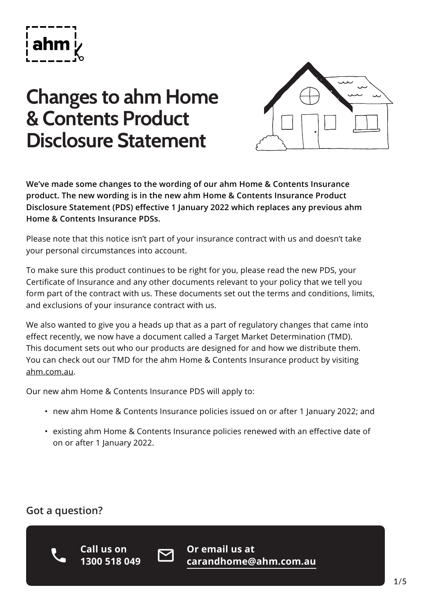

# **Changes to ahm Home & Contents Product Disclosure Statement**



**We've made some changes to the wording of our ahm Home & Contents Insurance product. The new wording is in the new ahm Home & Contents Insurance Product Disclosure Statement (PDS) effective 1 January 2022 which replaces any previous ahm Home & Contents Insurance PDSs.**

Please note that this notice isn't part of your insurance contract with us and doesn't take your personal circumstances into account.

To make sure this product continues to be right for you, please read the new PDS, your Certificate of Insurance and any other documents relevant to your policy that we tell you form part of the contract with us. These documents set out the terms and conditions, limits, and exclusions of your insurance contract with us.

We also wanted to give you a heads up that as a part of regulatory changes that came into effect recently, we now have a document called a Target Market Determination (TMD). This document sets out who our products are designed for and how we distribute them. You can check out our TMD for the ahm Home & Contents Insurance product by visiting [ahm.com.au](http://ahm.com.au).

Our new ahm Home & Contents Insurance PDS will apply to:

- new ahm Home & Contents Insurance policies issued on or after 1 January 2022; and
- existing ahm Home & Contents Insurance policies renewed with an effective date of on or after 1 January 2022.

### **Got a question?**



**Call us on 1300 518 049**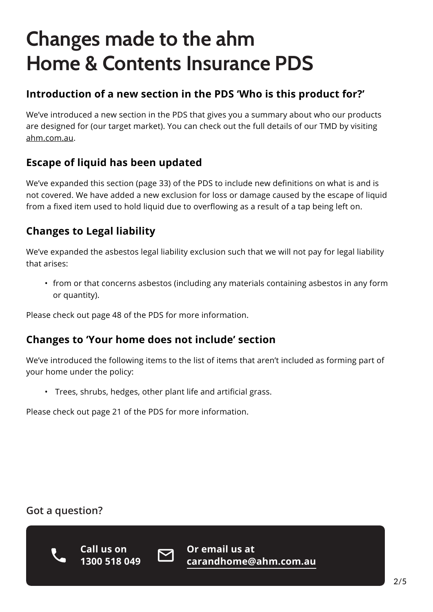# **Changes made to the ahm Home & Contents Insurance PDS**

### **Introduction of a new section in the PDS 'Who is this product for?'**

We've introduced a new section in the PDS that gives you a summary about who our products are designed for (our target market). You can check out the full details of our TMD by visiting [ahm.com.au](http://ahm.com.au).

## **Escape of liquid has been updated**

We've expanded this section (page 33) of the PDS to include new definitions on what is and is not covered. We have added a new exclusion for loss or damage caused by the escape of liquid from a fixed item used to hold liquid due to overflowing as a result of a tap being left on.

# **Changes to Legal liability**

We've expanded the asbestos legal liability exclusion such that we will not pay for legal liability that arises:

• from or that concerns asbestos (including any materials containing asbestos in any form or quantity).

Please check out page 48 of the PDS for more information.

### **Changes to 'Your home does not include' section**

We've introduced the following items to the list of items that aren't included as forming part of your home under the policy:

• Trees, shrubs, hedges, other plant life and artificial grass.

Please check out page 21 of the PDS for more information.

### **Got a question?**



**Call us on 1300 518 049**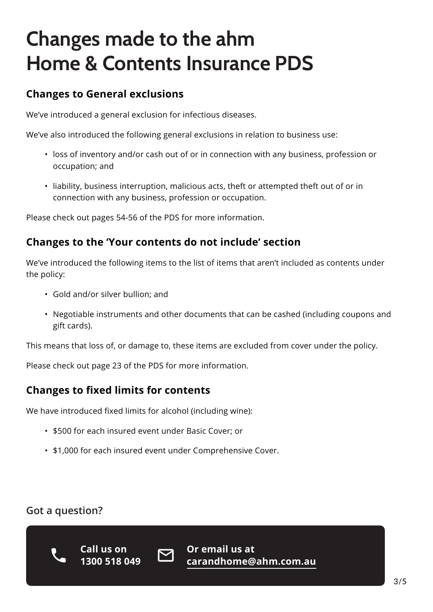# **Changes made to the ahm Home & Contents Insurance PDS**

### **Changes to General exclusions**

We've introduced a general exclusion for infectious diseases.

We've also introduced the following general exclusions in relation to business use:

- loss of inventory and/or cash out of or in connection with any business, profession or occupation; and
- liability, business interruption, malicious acts, theft or attempted theft out of or in connection with any business, profession or occupation.

Please check out pages 54-56 of the PDS for more information.

### **Changes to the 'Your contents do not include' section**

We've introduced the following items to the list of items that aren't included as contents under the policy:

- Gold and/or silver bullion; and
- Negotiable instruments and other documents that can be cashed (including coupons and gift cards).

This means that loss of, or damage to, these items are excluded from cover under the policy.

Please check out page 23 of the PDS for more information.

### **Changes to fixed limits for contents**

We have introduced fixed limits for alcohol (including wine):

- \$500 for each insured event under Basic Cover; or
- \$1,000 for each insured event under Comprehensive Cover.

### **Got a question?**



**Call us on 1300 518 049**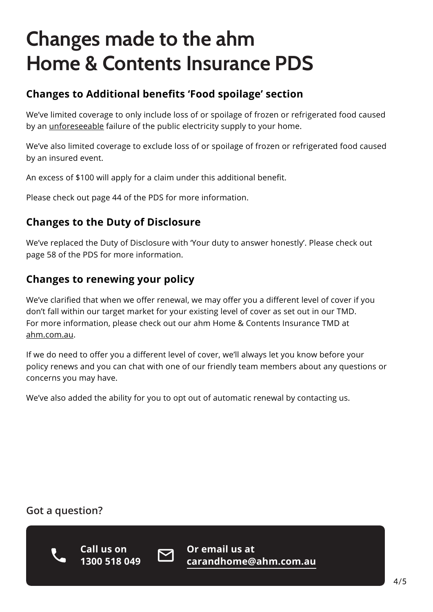# **Changes made to the ahm Home & Contents Insurance PDS**

### **Changes to Additional benefits 'Food spoilage' section**

We've limited coverage to only include loss of or spoilage of frozen or refrigerated food caused by an unforeseeable failure of the public electricity supply to your home.

We've also limited coverage to exclude loss of or spoilage of frozen or refrigerated food caused by an insured event.

An excess of \$100 will apply for a claim under this additional benefit.

Please check out page 44 of the PDS for more information.

### **Changes to the Duty of Disclosure**

We've replaced the Duty of Disclosure with 'Your duty to answer honestly'. Please check out page 58 of the PDS for more information.

### **Changes to renewing your policy**

We've clarified that when we offer renewal, we may offer you a different level of cover if you don't fall within our target market for your existing level of cover as set out in our TMD. For more information, please check out our ahm Home & Contents Insurance TMD at [ahm.com.au](http://ahm.com.au).

If we do need to offer you a different level of cover, we'll always let you know before your policy renews and you can chat with one of our friendly team members about any questions or concerns you may have.

We've also added the ability for you to opt out of automatic renewal by contacting us.

### **Got a question?**



**Call us on 1300 518 049**